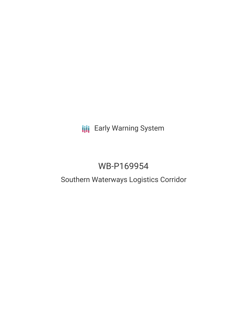**III** Early Warning System

# WB-P169954

## Southern Waterways Logistics Corridor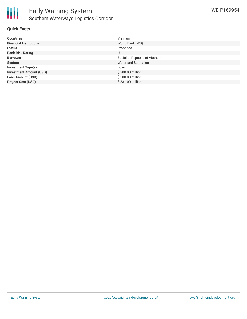

#### **Quick Facts**

| <b>Countries</b>               | Vietnam                       |
|--------------------------------|-------------------------------|
| <b>Financial Institutions</b>  | World Bank (WB)               |
| <b>Status</b>                  | Proposed                      |
| <b>Bank Risk Rating</b>        | U                             |
| <b>Borrower</b>                | Socialist Republic of Vietnam |
| <b>Sectors</b>                 | Water and Sanitation          |
| <b>Investment Type(s)</b>      | Loan                          |
| <b>Investment Amount (USD)</b> | \$300.00 million              |
| <b>Loan Amount (USD)</b>       | \$300.00 million              |
| <b>Project Cost (USD)</b>      | \$331.00 million              |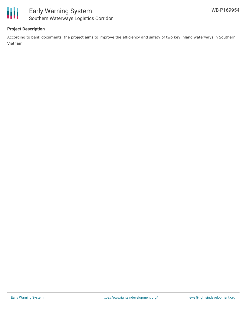



#### **Project Description**

According to bank documents, the project aims to improve the efficiency and safety of two key inland waterways in Southern Vietnam.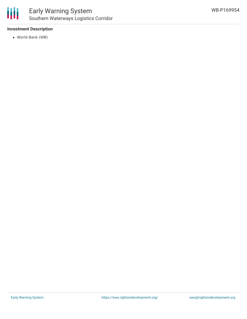

#### **Investment Description**

World Bank (WB)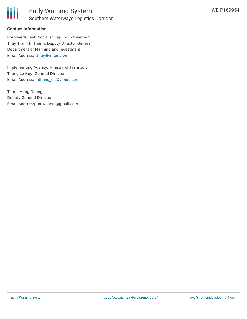

#### **Contact Information**

Borrower/Client: Socialist Republic of Vietnam Thuy Tran Thi Thanh, Deputy Director General Department of Planning and Investment Email Address: [tthuy@mt.gov.vn](mailto:tthuy@mt.gov.vn)

Implementing Agency: Ministry of Transport Thang Le Huy, General Director Email Address: [lhthang\\_da@yahoo.com](mailto:lhthang_da@yahoo.com)

Thanh Hung Duong Deputy General Director Email Address:pmuwhanoi@gmail.com